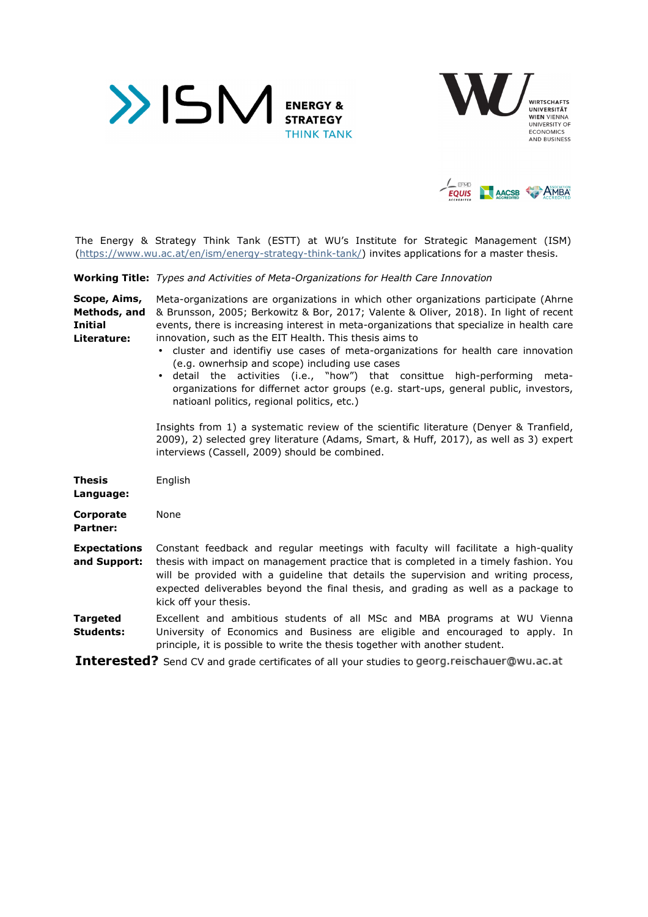





The Energy & Strategy Think Tank (ESTT) at WU's Institute for Strategic Management (ISM) (https://www.wu.ac.at/en/ism/energy-strategy-think-tank/) invites applications for a master thesis.

**Working Title:** *Types and Activities of Meta-Organizations for Health Care Innovation* 

| Scope, Aims,<br>Methods, and<br><b>Initial</b><br>Literature: | Meta-organizations are organizations in which other organizations participate (Ahrne<br>& Brunsson, 2005; Berkowitz & Bor, 2017; Valente & Oliver, 2018). In light of recent<br>events, there is increasing interest in meta-organizations that specialize in health care<br>innovation, such as the EIT Health. This thesis aims to<br>• cluster and identifiy use cases of meta-organizations for health care innovation<br>(e.g. ownerhsip and scope) including use cases<br>• detail the activities (i.e., "how") that consittue high-performing<br>meta-<br>organizations for differnet actor groups (e.g. start-ups, general public, investors,<br>natioanl politics, regional politics, etc.) |
|---------------------------------------------------------------|------------------------------------------------------------------------------------------------------------------------------------------------------------------------------------------------------------------------------------------------------------------------------------------------------------------------------------------------------------------------------------------------------------------------------------------------------------------------------------------------------------------------------------------------------------------------------------------------------------------------------------------------------------------------------------------------------|
|                                                               | Insights from 1) a systematic review of the scientific literature (Denyer & Tranfield,<br>2009), 2) selected grey literature (Adams, Smart, & Huff, 2017), as well as 3) expert<br>interviews (Cassell, 2009) should be combined.                                                                                                                                                                                                                                                                                                                                                                                                                                                                    |
| Thesis<br>Language:                                           | English                                                                                                                                                                                                                                                                                                                                                                                                                                                                                                                                                                                                                                                                                              |
| <b>Corporate</b><br>Partner:                                  | None                                                                                                                                                                                                                                                                                                                                                                                                                                                                                                                                                                                                                                                                                                 |
| <b>Expectations</b><br>and Support:                           | Constant feedback and regular meetings with faculty will facilitate a high-quality<br>thesis with impact on management practice that is completed in a timely fashion. You<br>will be provided with a guideline that details the supervision and writing process,<br>expected deliverables beyond the final thesis, and grading as well as a package to<br>kick off your thesis.                                                                                                                                                                                                                                                                                                                     |
| <b>Targeted</b><br><b>Students:</b>                           | Excellent and ambitious students of all MSc and MBA programs at WU Vienna<br>University of Economics and Business are eligible and encouraged to apply. In<br>principle, it is possible to write the thesis together with another student.                                                                                                                                                                                                                                                                                                                                                                                                                                                           |
|                                                               | <b>TREQUAREAR</b> $Q_{\text{out}}$ $Q_{\text{out}}$ and $Q_{\text{out}}$ is the state of all constraint to goods possible proposition on $\mathbb{R}^+$                                                                                                                                                                                                                                                                                                                                                                                                                                                                                                                                              |

**Interested?** Send CV and grade certificates of all your studies to georg.reischauer@wu.ac.at